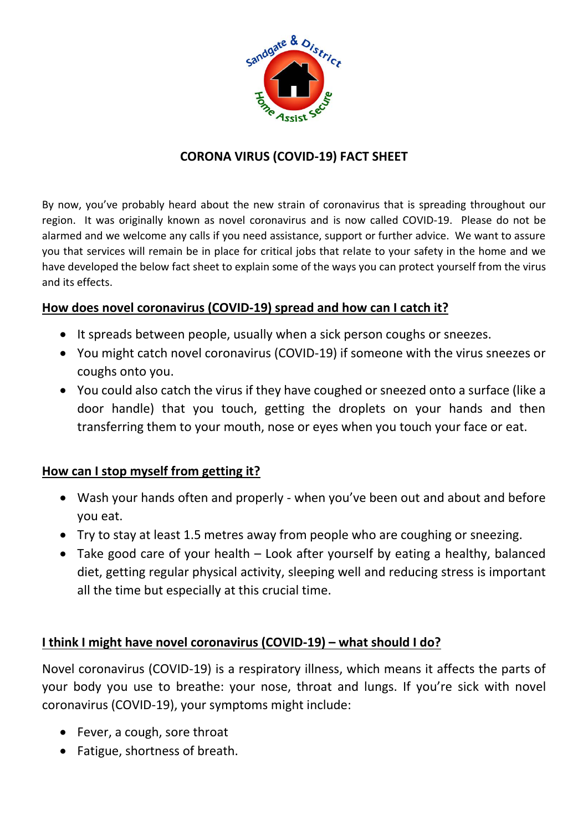

### **CORONA VIRUS (COVID-19) FACT SHEET**

By now, you've probably heard about the new strain of coronavirus that is spreading throughout our region. It was originally known as novel coronavirus and is now called COVID-19. Please do not be alarmed and we welcome any calls if you need assistance, support or further advice. We want to assure you that services will remain be in place for critical jobs that relate to your safety in the home and we have developed the below fact sheet to explain some of the ways you can protect yourself from the virus and its effects.

#### **How does novel coronavirus (COVID-19) spread and how can I catch it?**

- It spreads between people, usually when a sick person coughs or sneezes.
- You might catch novel coronavirus (COVID-19) if someone with the virus sneezes or coughs onto you.
- You could also catch the virus if they have coughed or sneezed onto a surface (like a door handle) that you touch, getting the droplets on your hands and then transferring them to your mouth, nose or eyes when you touch your face or eat.

#### **How can I stop myself from getting it?**

- Wash your hands often and properly when you've been out and about and before you eat.
- Try to stay at least 1.5 metres away from people who are coughing or sneezing.
- Take good care of your health Look after yourself by [eating a healthy, balanced](https://www.healthier.qld.gov.au/food)  [diet,](https://www.healthier.qld.gov.au/food) [getting regular physical activity,](https://www.healthier.qld.gov.au/fitness) [sleeping well](https://www.health.qld.gov.au/news-events/news/10-steps-to-better-sleep) and [reducing stress](https://www.health.qld.gov.au/news-events/news/how-to-reduce-stress-right-now) is important all the time but especially at this crucial time.

#### **I think I might have novel coronavirus (COVID-19) – what should I do?**

Novel coronavirus (COVID-19) is a respiratory illness, which means it affects the parts of your body you use to breathe: your nose, throat and lungs. If you're sick with novel coronavirus (COVID-19), your symptoms might include:

- Fever, a cough, sore throat
- Fatigue, shortness of breath.